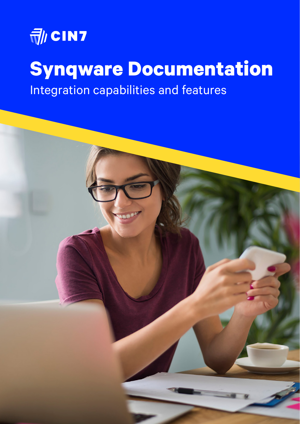

# **Synqware Documentation**

Integration capabilities and features

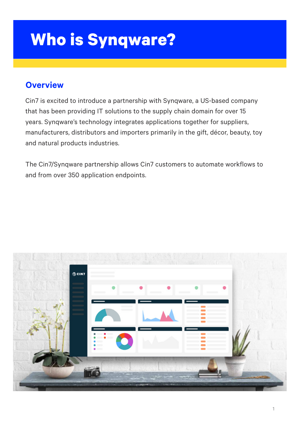# **Who is Synqware?**

Cin7 is excited to introduce a partnership with Synqware, a US-based company

that has been providing IT solutions to the supply chain domain for over 15 years. Synqware's technology integrates applications together for suppliers, manufacturers, distributors and importers primarily in the gift, décor, beauty, toy and natural products industries.

The Cin7/Synqware partnership allows Cin7 customers to automate workflows to and from over 350 application endpoints.



### **Overview**

1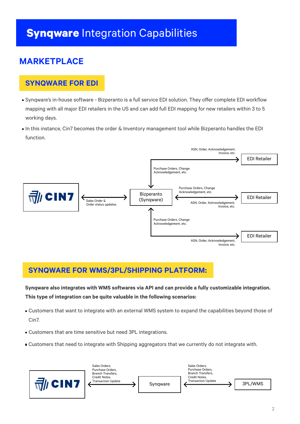# **Synqware** Integration Capabilities

### **MARKETPLACE**

Synqware's in-house software - Bizperanto is a full service EDI solution. They offer complete EDI workflow mapping with all major EDI retailers in the US and can add full EDI mapping for new retailers within 3 to 5 working days.

• In this instance, Cin7 becomes the order & Inventory management tool while Bizperanto handles the EDI function.

#### **SYNQWARE FOR EDI**

**Synqware also integrates with WMS softwares via API and can provide a fully customizable integration. This type of integration can be quite valuable in the following scenarios:**

Customers that want to integrate with an external WMS system to expand the capabilities beyond those of

Cin7.

Customers that are time sensitive but need 3PL integrations.

Customers that need to integrate with Shipping aggregators that we currently do not integrate with.

## **SYNQWARE FOR WMS/3PL/SHIPPING PLATFORM:**



EDI Retailer



Purchase Orders, Change Acknowledgement, etc.

> ASN, Order, Acknowledgement, Invoice, etc.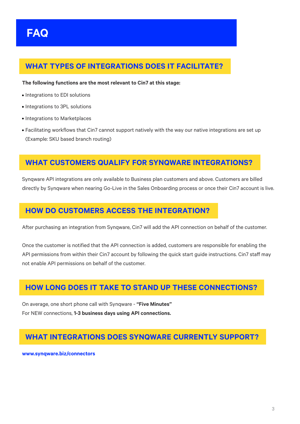

- Integrations to EDI solutions
- Integrations to 3PL solutions
- **Integrations to Marketplaces**
- Facilitating workflows that Cin7 cannot support natively with the way our native integrations are set up (Example: SKU based branch routing)

#### **WHAT TYPES OF INTEGRATIONS DOES IT FACILITATE?**

#### **The following functions are the most relevant to Cin7 at this stage:**

## **WHAT CUSTOMERS QUALIFY FOR SYNQWARE INTEGRATIONS?**

Synqware API integrations are only available to Business plan customers and above. Customers are billed directly by Synqware when nearing Go-Live in the Sales Onboarding process or once their Cin7 account is live.

### **HOW DO CUSTOMERS ACCESS THE INTEGRATION?**

After purchasing an integration from Synqware, Cin7 will add the API connection on behalf of the customer.

Once the customer is notified that the API connection is added, customers are responsible for enabling the API permissions from within their Cin7 account by following the quick start guide instructions. Cin7 staff may not enable API permissions on behalf of the customer.

#### **HOW LONG DOES IT TAKE TO STAND UP THESE CONNECTIONS?**

On average, one short phone call with Synqware - **"Five Minutes"** 

For NEW connections, **1-3 business days using API connections.** 

#### **WHAT INTEGRATIONS DOES SYNQWARE CURRENTLY SUPPORT?**

**www.synqware.biz/connectors**